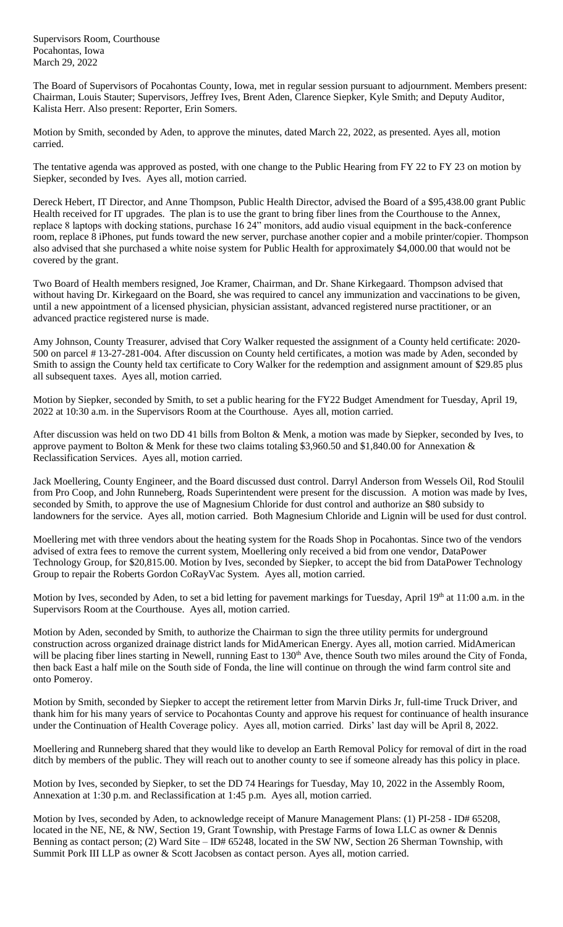Supervisors Room, Courthouse Pocahontas, Iowa March 29, 2022

The Board of Supervisors of Pocahontas County, Iowa, met in regular session pursuant to adjournment. Members present: Chairman, Louis Stauter; Supervisors, Jeffrey Ives, Brent Aden, Clarence Siepker, Kyle Smith; and Deputy Auditor, Kalista Herr. Also present: Reporter, Erin Somers.

Motion by Smith, seconded by Aden, to approve the minutes, dated March 22, 2022, as presented. Ayes all, motion carried.

The tentative agenda was approved as posted, with one change to the Public Hearing from FY 22 to FY 23 on motion by Siepker, seconded by Ives. Ayes all, motion carried.

Dereck Hebert, IT Director, and Anne Thompson, Public Health Director, advised the Board of a \$95,438.00 grant Public Health received for IT upgrades. The plan is to use the grant to bring fiber lines from the Courthouse to the Annex, replace 8 laptops with docking stations, purchase 16 24" monitors, add audio visual equipment in the back-conference room, replace 8 iPhones, put funds toward the new server, purchase another copier and a mobile printer/copier. Thompson also advised that she purchased a white noise system for Public Health for approximately \$4,000.00 that would not be covered by the grant.

Two Board of Health members resigned, Joe Kramer, Chairman, and Dr. Shane Kirkegaard. Thompson advised that without having Dr. Kirkegaard on the Board, she was required to cancel any immunization and vaccinations to be given, until a new appointment of a licensed physician, physician assistant, advanced registered nurse practitioner, or an advanced practice registered nurse is made.

Amy Johnson, County Treasurer, advised that Cory Walker requested the assignment of a County held certificate: 2020- 500 on parcel # 13-27-281-004. After discussion on County held certificates, a motion was made by Aden, seconded by Smith to assign the County held tax certificate to Cory Walker for the redemption and assignment amount of \$29.85 plus all subsequent taxes. Ayes all, motion carried.

Motion by Siepker, seconded by Smith, to set a public hearing for the FY22 Budget Amendment for Tuesday, April 19, 2022 at 10:30 a.m. in the Supervisors Room at the Courthouse. Ayes all, motion carried.

After discussion was held on two DD 41 bills from Bolton & Menk, a motion was made by Siepker, seconded by Ives, to approve payment to Bolton & Menk for these two claims totaling \$3,960.50 and \$1,840.00 for Annexation & Reclassification Services. Ayes all, motion carried.

Jack Moellering, County Engineer, and the Board discussed dust control. Darryl Anderson from Wessels Oil, Rod Stoulil from Pro Coop, and John Runneberg, Roads Superintendent were present for the discussion. A motion was made by Ives, seconded by Smith, to approve the use of Magnesium Chloride for dust control and authorize an \$80 subsidy to landowners for the service. Ayes all, motion carried. Both Magnesium Chloride and Lignin will be used for dust control.

Moellering met with three vendors about the heating system for the Roads Shop in Pocahontas. Since two of the vendors advised of extra fees to remove the current system, Moellering only received a bid from one vendor, DataPower Technology Group, for \$20,815.00. Motion by Ives, seconded by Siepker, to accept the bid from DataPower Technology Group to repair the Roberts Gordon CoRayVac System. Ayes all, motion carried.

Motion by Ives, seconded by Aden, to set a bid letting for pavement markings for Tuesday, April 19th at 11:00 a.m. in the Supervisors Room at the Courthouse. Ayes all, motion carried.

Motion by Aden, seconded by Smith, to authorize the Chairman to sign the three utility permits for underground construction across organized drainage district lands for MidAmerican Energy. Ayes all, motion carried. MidAmerican will be placing fiber lines starting in Newell, running East to 130<sup>th</sup> Ave, thence South two miles around the City of Fonda, then back East a half mile on the South side of Fonda, the line will continue on through the wind farm control site and onto Pomeroy.

Motion by Smith, seconded by Siepker to accept the retirement letter from Marvin Dirks Jr, full-time Truck Driver, and thank him for his many years of service to Pocahontas County and approve his request for continuance of health insurance under the Continuation of Health Coverage policy. Ayes all, motion carried. Dirks' last day will be April 8, 2022.

Moellering and Runneberg shared that they would like to develop an Earth Removal Policy for removal of dirt in the road ditch by members of the public. They will reach out to another county to see if someone already has this policy in place.

Motion by Ives, seconded by Siepker, to set the DD 74 Hearings for Tuesday, May 10, 2022 in the Assembly Room, Annexation at 1:30 p.m. and Reclassification at 1:45 p.m. Ayes all, motion carried.

Motion by Ives, seconded by Aden, to acknowledge receipt of Manure Management Plans: (1) PI-258 - ID# 65208, located in the NE, NE, & NW, Section 19, Grant Township, with Prestage Farms of Iowa LLC as owner & Dennis Benning as contact person; (2) Ward Site – ID# 65248, located in the SW NW, Section 26 Sherman Township, with Summit Pork III LLP as owner & Scott Jacobsen as contact person. Ayes all, motion carried.